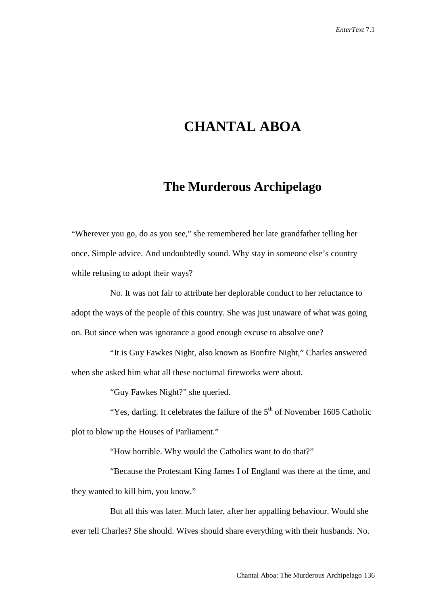## **CHANTAL ABOA**

## **The Murderous Archipelago**

"Wherever you go, do as you see," she remembered her late grandfather telling her once. Simple advice. And undoubtedly sound. Why stay in someone else's country while refusing to adopt their ways?

No. It was not fair to attribute her deplorable conduct to her reluctance to adopt the ways of the people of this country. She was just unaware of what was going on. But since when was ignorance a good enough excuse to absolve one?

"It is Guy Fawkes Night, also known as Bonfire Night," Charles answered when she asked him what all these nocturnal fireworks were about.

"Guy Fawkes Night?" she queried.

"Yes, darling. It celebrates the failure of the  $5<sup>th</sup>$  of November 1605 Catholic plot to blow up the Houses of Parliament."

"How horrible. Why would the Catholics want to do that?"

"Because the Protestant King James I of England was there at the time, and they wanted to kill him, you know."

But all this was later. Much later, after her appalling behaviour. Would she ever tell Charles? She should. Wives should share everything with their husbands. No.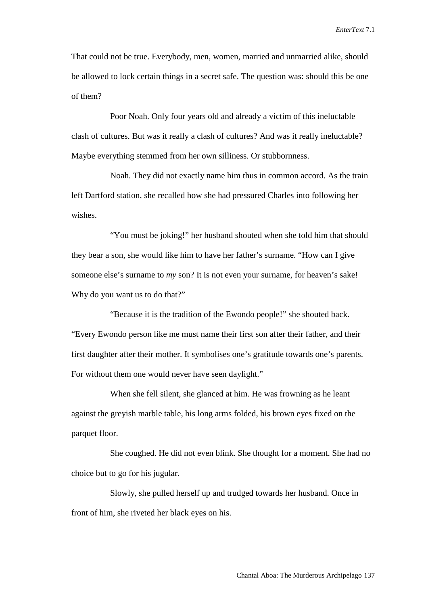That could not be true. Everybody, men, women, married and unmarried alike, should be allowed to lock certain things in a secret safe. The question was: should this be one of them?

Poor Noah. Only four years old and already a victim of this ineluctable clash of cultures. But was it really a clash of cultures? And was it really ineluctable? Maybe everything stemmed from her own silliness. Or stubbornness.

Noah. They did not exactly name him thus in common accord. As the train left Dartford station, she recalled how she had pressured Charles into following her wishes.

"You must be joking!" her husband shouted when she told him that should they bear a son, she would like him to have her father's surname. "How can I give someone else's surname to *my* son? It is not even your surname, for heaven's sake! Why do you want us to do that?"

"Because it is the tradition of the Ewondo people!" she shouted back. "Every Ewondo person like me must name their first son after their father, and their first daughter after their mother. It symbolises one's gratitude towards one's parents. For without them one would never have seen daylight."

When she fell silent, she glanced at him. He was frowning as he leant against the greyish marble table, his long arms folded, his brown eyes fixed on the parquet floor.

She coughed. He did not even blink. She thought for a moment. She had no choice but to go for his jugular.

Slowly, she pulled herself up and trudged towards her husband. Once in front of him, she riveted her black eyes on his.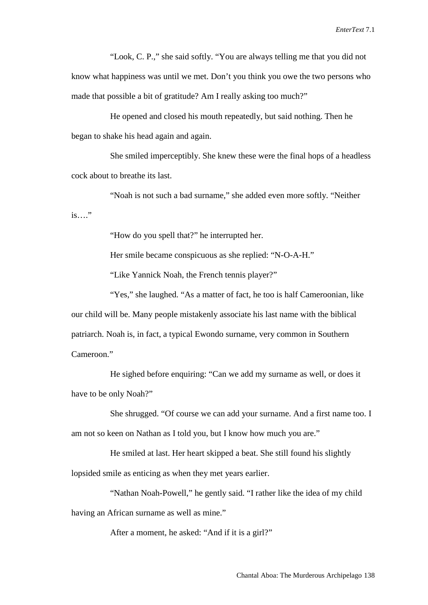"Look, C. P.," she said softly. "You are always telling me that you did not know what happiness was until we met. Don't you think you owe the two persons who made that possible a bit of gratitude? Am I really asking too much?"

He opened and closed his mouth repeatedly, but said nothing. Then he began to shake his head again and again.

She smiled imperceptibly. She knew these were the final hops of a headless cock about to breathe its last.

"Noah is not such a bad surname," she added even more softly. "Neither is…."

"How do you spell that?" he interrupted her.

Her smile became conspicuous as she replied: "N-O-A-H."

"Like Yannick Noah, the French tennis player?"

"Yes," she laughed. "As a matter of fact, he too is half Cameroonian, like our child will be. Many people mistakenly associate his last name with the biblical patriarch. Noah is, in fact, a typical Ewondo surname, very common in Southern Cameroon."

He sighed before enquiring: "Can we add my surname as well, or does it have to be only Noah?"

She shrugged. "Of course we can add your surname. And a first name too. I am not so keen on Nathan as I told you, but I know how much you are."

He smiled at last. Her heart skipped a beat. She still found his slightly

lopsided smile as enticing as when they met years earlier.

"Nathan Noah-Powell," he gently said. "I rather like the idea of my child having an African surname as well as mine."

After a moment, he asked: "And if it is a girl?"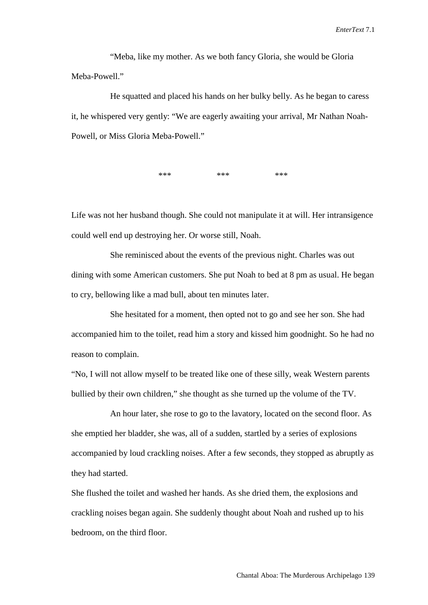"Meba, like my mother. As we both fancy Gloria, she would be Gloria Meba-Powell<sup>"</sup>

He squatted and placed his hands on her bulky belly. As he began to caress it, he whispered very gently: "We are eagerly awaiting your arrival, Mr Nathan Noah-Powell, or Miss Gloria Meba-Powell."

\*\*\* \*\*\* \*\*\* \*\*\*

Life was not her husband though. She could not manipulate it at will. Her intransigence could well end up destroying her. Or worse still, Noah.

She reminisced about the events of the previous night. Charles was out dining with some American customers. She put Noah to bed at 8 pm as usual. He began to cry, bellowing like a mad bull, about ten minutes later.

She hesitated for a moment, then opted not to go and see her son. She had accompanied him to the toilet, read him a story and kissed him goodnight. So he had no reason to complain.

"No, I will not allow myself to be treated like one of these silly, weak Western parents bullied by their own children," she thought as she turned up the volume of the TV.

An hour later, she rose to go to the lavatory, located on the second floor. As she emptied her bladder, she was, all of a sudden, startled by a series of explosions accompanied by loud crackling noises. After a few seconds, they stopped as abruptly as they had started.

She flushed the toilet and washed her hands. As she dried them, the explosions and crackling noises began again. She suddenly thought about Noah and rushed up to his bedroom, on the third floor.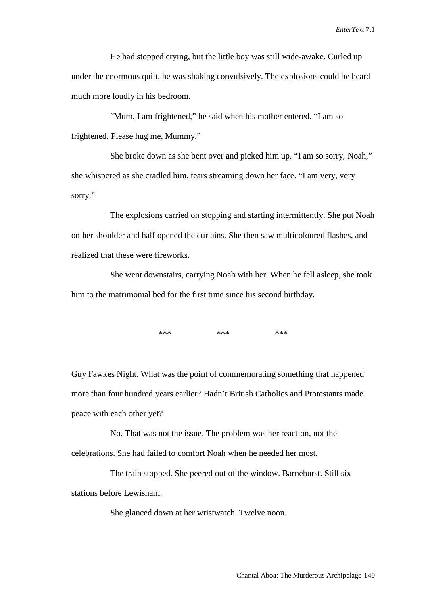He had stopped crying, but the little boy was still wide-awake. Curled up under the enormous quilt, he was shaking convulsively. The explosions could be heard much more loudly in his bedroom.

"Mum, I am frightened," he said when his mother entered. "I am so frightened. Please hug me, Mummy."

She broke down as she bent over and picked him up. "I am so sorry, Noah," she whispered as she cradled him, tears streaming down her face. "I am very, very sorry."

The explosions carried on stopping and starting intermittently. She put Noah on her shoulder and half opened the curtains. She then saw multicoloured flashes, and realized that these were fireworks.

She went downstairs, carrying Noah with her. When he fell asleep, she took him to the matrimonial bed for the first time since his second birthday.

\*\*\* \*\*\* \*\*\* \*\*\*

Guy Fawkes Night. What was the point of commemorating something that happened more than four hundred years earlier? Hadn't British Catholics and Protestants made peace with each other yet?

No. That was not the issue. The problem was her reaction, not the celebrations. She had failed to comfort Noah when he needed her most.

The train stopped. She peered out of the window. Barnehurst. Still six stations before Lewisham.

She glanced down at her wristwatch. Twelve noon.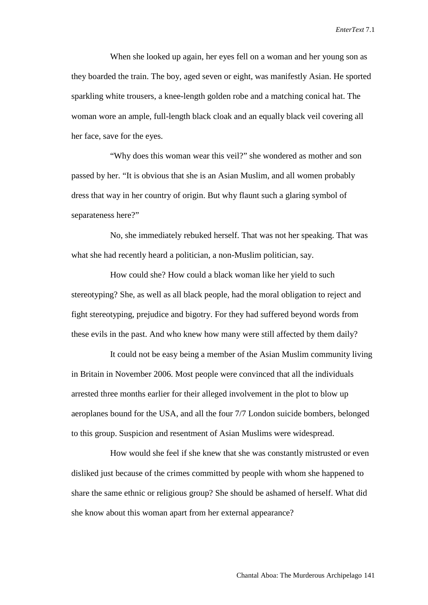When she looked up again, her eyes fell on a woman and her young son as they boarded the train. The boy, aged seven or eight, was manifestly Asian. He sported sparkling white trousers, a knee-length golden robe and a matching conical hat. The woman wore an ample, full-length black cloak and an equally black veil covering all her face, save for the eyes.

"Why does this woman wear this veil?" she wondered as mother and son passed by her. "It is obvious that she is an Asian Muslim, and all women probably dress that way in her country of origin. But why flaunt such a glaring symbol of separateness here?"

No, she immediately rebuked herself. That was not her speaking. That was what she had recently heard a politician, a non-Muslim politician, say.

How could she? How could a black woman like her yield to such stereotyping? She, as well as all black people, had the moral obligation to reject and fight stereotyping, prejudice and bigotry. For they had suffered beyond words from these evils in the past. And who knew how many were still affected by them daily?

It could not be easy being a member of the Asian Muslim community living in Britain in November 2006. Most people were convinced that all the individuals arrested three months earlier for their alleged involvement in the plot to blow up aeroplanes bound for the USA, and all the four 7/7 London suicide bombers, belonged to this group. Suspicion and resentment of Asian Muslims were widespread.

How would she feel if she knew that she was constantly mistrusted or even disliked just because of the crimes committed by people with whom she happened to share the same ethnic or religious group? She should be ashamed of herself. What did she know about this woman apart from her external appearance?

Chantal Aboa: The Murderous Archipelago 141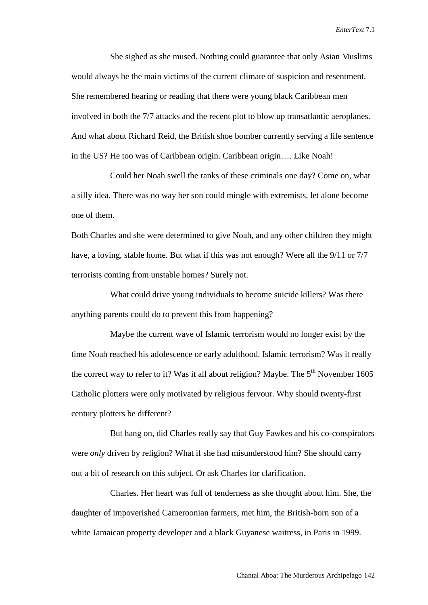She sighed as she mused. Nothing could guarantee that only Asian Muslims would always be the main victims of the current climate of suspicion and resentment. She remembered hearing or reading that there were young black Caribbean men involved in both the 7/7 attacks and the recent plot to blow up transatlantic aeroplanes. And what about Richard Reid, the British shoe bomber currently serving a life sentence in the US? He too was of Caribbean origin. Caribbean origin…. Like Noah!

Could her Noah swell the ranks of these criminals one day? Come on, what a silly idea. There was no way her son could mingle with extremists, let alone become one of them.

Both Charles and she were determined to give Noah, and any other children they might have, a loving, stable home. But what if this was not enough? Were all the 9/11 or 7/7 terrorists coming from unstable homes? Surely not.

What could drive young individuals to become suicide killers? Was there anything parents could do to prevent this from happening?

Maybe the current wave of Islamic terrorism would no longer exist by the time Noah reached his adolescence or early adulthood. Islamic terrorism? Was it really the correct way to refer to it? Was it all about religion? Maybe. The  $5<sup>th</sup>$  November 1605 Catholic plotters were only motivated by religious fervour. Why should twenty-first century plotters be different?

But hang on, did Charles really say that Guy Fawkes and his co-conspirators were *only* driven by religion? What if she had misunderstood him? She should carry out a bit of research on this subject. Or ask Charles for clarification.

Charles. Her heart was full of tenderness as she thought about him. She, the daughter of impoverished Cameroonian farmers, met him, the British-born son of a white Jamaican property developer and a black Guyanese waitress, in Paris in 1999.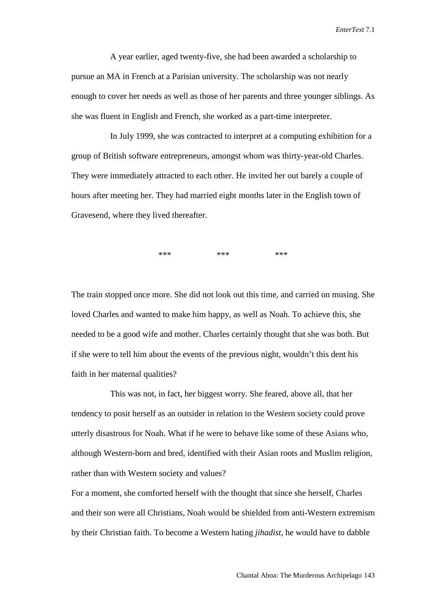A year earlier, aged twenty-five, she had been awarded a scholarship to pursue an MA in French at a Parisian university. The scholarship was not nearly enough to cover her needs as well as those of her parents and three younger siblings. As she was fluent in English and French, she worked as a part-time interpreter.

In July 1999, she was contracted to interpret at a computing exhibition for a group of British software entrepreneurs, amongst whom was thirty-year-old Charles. They were immediately attracted to each other. He invited her out barely a couple of hours after meeting her. They had married eight months later in the English town of Gravesend, where they lived thereafter.

 $***$  \*\*\* \*\*\* \*\*\*

The train stopped once more. She did not look out this time, and carried on musing. She loved Charles and wanted to make him happy, as well as Noah. To achieve this, she needed to be a good wife and mother. Charles certainly thought that she was both. But if she were to tell him about the events of the previous night, wouldn't this dent his faith in her maternal qualities?

This was not, in fact, her biggest worry. She feared, above all, that her tendency to posit herself as an outsider in relation to the Western society could prove utterly disastrous for Noah. What if he were to behave like some of these Asians who, although Western-born and bred, identified with their Asian roots and Muslim religion, rather than with Western society and values?

For a moment, she comforted herself with the thought that since she herself, Charles and their son were all Christians, Noah would be shielded from anti-Western extremism by their Christian faith. To become a Western hating *jihadist*, he would have to dabble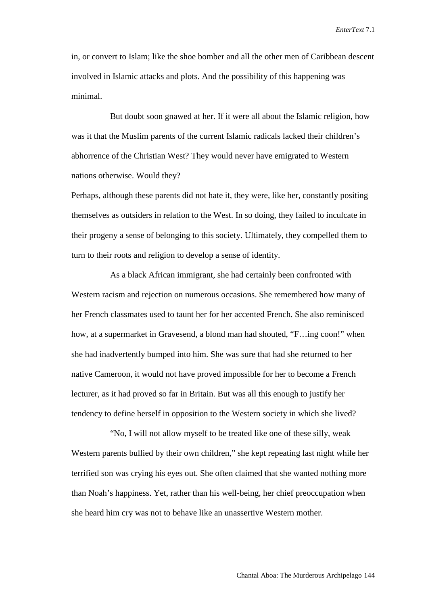in, or convert to Islam; like the shoe bomber and all the other men of Caribbean descent involved in Islamic attacks and plots. And the possibility of this happening was minimal.

But doubt soon gnawed at her. If it were all about the Islamic religion, how was it that the Muslim parents of the current Islamic radicals lacked their children's abhorrence of the Christian West? They would never have emigrated to Western nations otherwise. Would they?

Perhaps, although these parents did not hate it, they were, like her, constantly positing themselves as outsiders in relation to the West. In so doing, they failed to inculcate in their progeny a sense of belonging to this society. Ultimately, they compelled them to turn to their roots and religion to develop a sense of identity.

As a black African immigrant, she had certainly been confronted with Western racism and rejection on numerous occasions. She remembered how many of her French classmates used to taunt her for her accented French. She also reminisced how, at a supermarket in Gravesend, a blond man had shouted, "F...ing coon!" when she had inadvertently bumped into him. She was sure that had she returned to her native Cameroon, it would not have proved impossible for her to become a French lecturer, as it had proved so far in Britain. But was all this enough to justify her tendency to define herself in opposition to the Western society in which she lived?

"No, I will not allow myself to be treated like one of these silly, weak Western parents bullied by their own children," she kept repeating last night while her terrified son was crying his eyes out. She often claimed that she wanted nothing more than Noah's happiness. Yet, rather than his well-being, her chief preoccupation when she heard him cry was not to behave like an unassertive Western mother.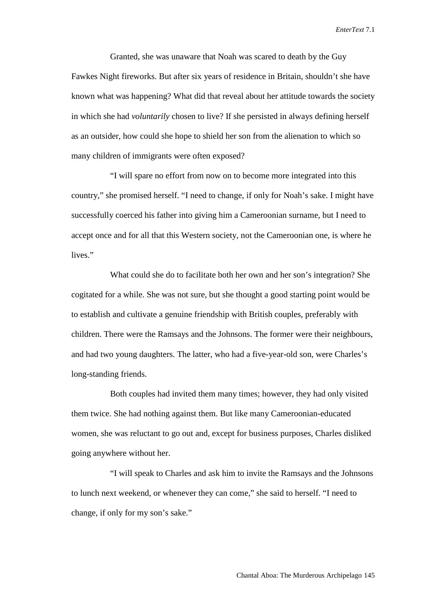Granted, she was unaware that Noah was scared to death by the Guy Fawkes Night fireworks. But after six years of residence in Britain, shouldn't she have known what was happening? What did that reveal about her attitude towards the society in which she had *voluntarily* chosen to live? If she persisted in always defining herself as an outsider, how could she hope to shield her son from the alienation to which so many children of immigrants were often exposed?

"I will spare no effort from now on to become more integrated into this country," she promised herself. "I need to change, if only for Noah's sake. I might have successfully coerced his father into giving him a Cameroonian surname, but I need to accept once and for all that this Western society, not the Cameroonian one, is where he lives."

What could she do to facilitate both her own and her son's integration? She cogitated for a while. She was not sure, but she thought a good starting point would be to establish and cultivate a genuine friendship with British couples, preferably with children. There were the Ramsays and the Johnsons. The former were their neighbours, and had two young daughters. The latter, who had a five-year-old son, were Charles's long-standing friends.

Both couples had invited them many times; however, they had only visited them twice. She had nothing against them. But like many Cameroonian-educated women, she was reluctant to go out and, except for business purposes, Charles disliked going anywhere without her.

"I will speak to Charles and ask him to invite the Ramsays and the Johnsons to lunch next weekend, or whenever they can come," she said to herself. "I need to change, if only for my son's sake."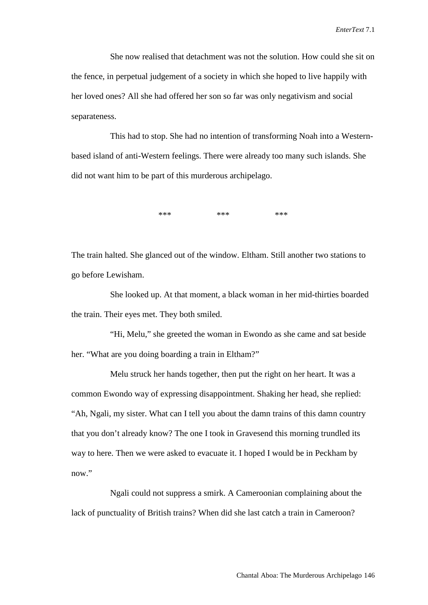She now realised that detachment was not the solution. How could she sit on the fence, in perpetual judgement of a society in which she hoped to live happily with her loved ones? All she had offered her son so far was only negativism and social separateness.

This had to stop. She had no intention of transforming Noah into a Westernbased island of anti-Western feelings. There were already too many such islands. She did not want him to be part of this murderous archipelago.

 $***$  \*\*\* \*\*\* \*\*\*

The train halted. She glanced out of the window. Eltham. Still another two stations to go before Lewisham.

She looked up. At that moment, a black woman in her mid-thirties boarded the train. Their eyes met. They both smiled.

"Hi, Melu," she greeted the woman in Ewondo as she came and sat beside her. "What are you doing boarding a train in Eltham?"

Melu struck her hands together, then put the right on her heart. It was a common Ewondo way of expressing disappointment. Shaking her head, she replied: "Ah, Ngali, my sister. What can I tell you about the damn trains of this damn country that you don't already know? The one I took in Gravesend this morning trundled its way to here. Then we were asked to evacuate it. I hoped I would be in Peckham by now."

Ngali could not suppress a smirk. A Cameroonian complaining about the lack of punctuality of British trains? When did she last catch a train in Cameroon?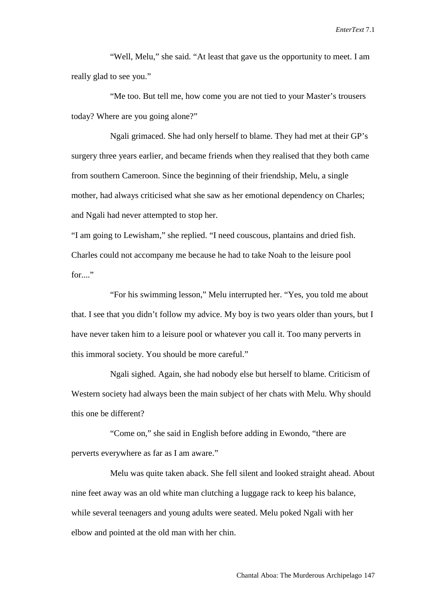"Well, Melu," she said. "At least that gave us the opportunity to meet. I am really glad to see you."

"Me too. But tell me, how come you are not tied to your Master's trousers today? Where are you going alone?"

Ngali grimaced. She had only herself to blame. They had met at their GP's surgery three years earlier, and became friends when they realised that they both came from southern Cameroon. Since the beginning of their friendship, Melu, a single mother, had always criticised what she saw as her emotional dependency on Charles; and Ngali had never attempted to stop her.

"I am going to Lewisham," she replied. "I need couscous, plantains and dried fish. Charles could not accompany me because he had to take Noah to the leisure pool for  $\cdot$ 

"For his swimming lesson," Melu interrupted her. "Yes, you told me about that. I see that you didn't follow my advice. My boy is two years older than yours, but I have never taken him to a leisure pool or whatever you call it. Too many perverts in this immoral society. You should be more careful."

Ngali sighed. Again, she had nobody else but herself to blame. Criticism of Western society had always been the main subject of her chats with Melu. Why should this one be different?

"Come on," she said in English before adding in Ewondo, "there are perverts everywhere as far as I am aware."

Melu was quite taken aback. She fell silent and looked straight ahead. About nine feet away was an old white man clutching a luggage rack to keep his balance, while several teenagers and young adults were seated. Melu poked Ngali with her elbow and pointed at the old man with her chin.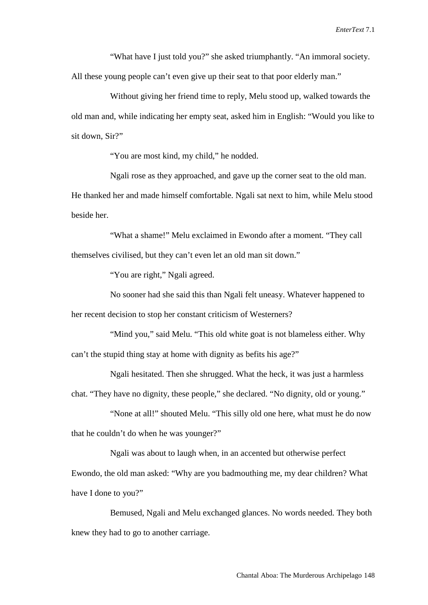"What have I just told you?" she asked triumphantly. "An immoral society.

All these young people can't even give up their seat to that poor elderly man."

Without giving her friend time to reply, Melu stood up, walked towards the old man and, while indicating her empty seat, asked him in English: "Would you like to sit down, Sir?"

"You are most kind, my child," he nodded.

Ngali rose as they approached, and gave up the corner seat to the old man. He thanked her and made himself comfortable. Ngali sat next to him, while Melu stood beside her.

"What a shame!" Melu exclaimed in Ewondo after a moment. "They call themselves civilised, but they can't even let an old man sit down."

"You are right," Ngali agreed.

No sooner had she said this than Ngali felt uneasy. Whatever happened to her recent decision to stop her constant criticism of Westerners?

"Mind you," said Melu. "This old white goat is not blameless either. Why can't the stupid thing stay at home with dignity as befits his age?"

Ngali hesitated. Then she shrugged. What the heck, it was just a harmless chat. "They have no dignity, these people," she declared. "No dignity, old or young."

"None at all!" shouted Melu. "This silly old one here, what must he do now that he couldn't do when he was younger?"

Ngali was about to laugh when, in an accented but otherwise perfect Ewondo, the old man asked: "Why are you badmouthing me, my dear children? What have I done to you?"

Bemused, Ngali and Melu exchanged glances. No words needed. They both knew they had to go to another carriage.